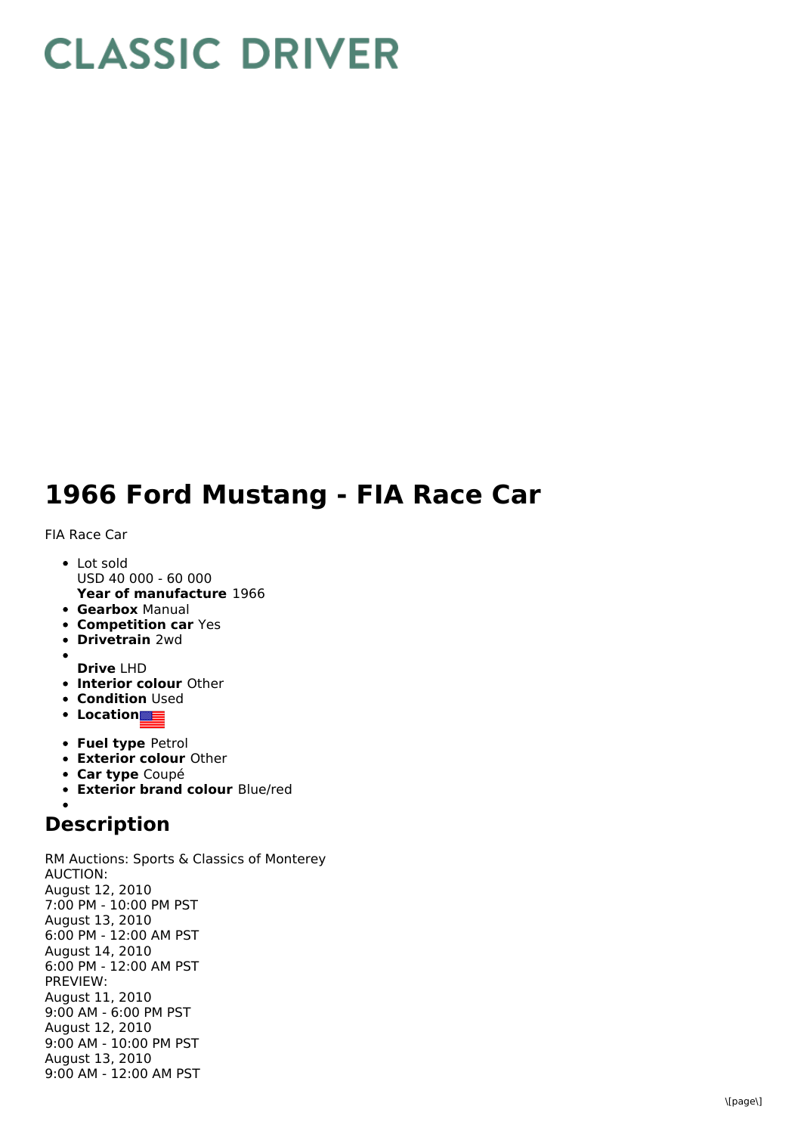## **CLASSIC DRIVER**

## **1966 Ford Mustang - FIA Race Car**

FIA Race Car

- **Year of manufacture** 1966 • Lot sold USD 40 000 - 60 000
- **Gearbox** Manual
- **Competition car** Yes
- **Drivetrain** 2wd
- **Drive** LHD
- **Interior colour** Other
- **Condition Used**
- **Location**
- **Fuel type** Petrol
- **Exterior colour** Other
- **Car type** Coupé
- **Exterior brand colour** Blue/red

## **Description**

RM Auctions: Sports & Classics of Monterey AUCTION: August 12, 2010 7:00 PM - 10:00 PM PST August 13, 2010 6:00 PM - 12:00 AM PST August 14, 2010 6:00 PM - 12:00 AM PST PREVIEW: August 11, 2010 9:00 AM - 6:00 PM PST August 12, 2010 9:00 AM - 10:00 PM PST August 13, 2010 9:00 AM - 12:00 AM PST